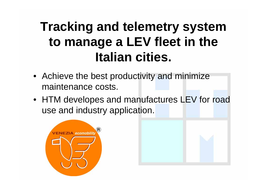# **Tracking and telemetry system to manage a LEV fleet in the Italian cities.**

- Achieve the best productivity and minimize maintenance costs.
- HTM developes and manufactures LEV for road use and industry application.

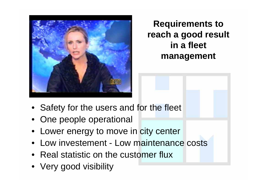

## **Requirements to reach a good result in a fleet management**

- Safety for the users and for the fleet
- One people operational
- Lower energy to move in city center
- Low investement Low maintenance costs
- Real statistic on the customer flux
- Very good visibility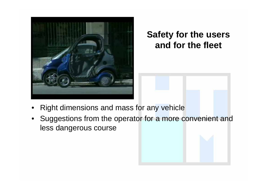

## **Safety for the users and for the fleet**

- •Right dimensions and mass for any vehicle
- •Suggestions from the operator for a more convenient and less dangerous course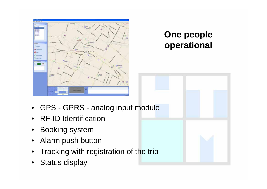

### **One people operational**

- •GPS - GPRS - analog input module
- •RF-ID Identification
- •Booking system
- •Alarm push button
- •Tracking with registration of the trip
- •Status display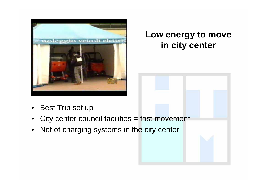

#### **Low energy to move in city center**

- •Best Trip set up
- •City center council facilities = fast movement
- •Net of charging systems in the city center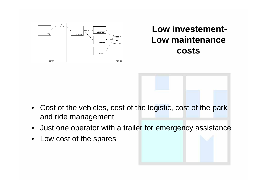

#### **Low investement-Low maintenance costs**

- Cost of the vehicles, cost of the logistic, cost of the park and ride management
- $\bullet$ Just one operator with a trailer for emergency assistance
- $\bullet$ Low cost of the spares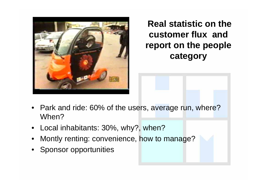

## **Real statistic on the customer flux and report on the people category**

- •Park and ride: 60% of the users, average run, where? When?
- •Local inhabitants: 30%, why?, when?
- •Montly renting: convenience, how to manage?
- •Sponsor opportunities